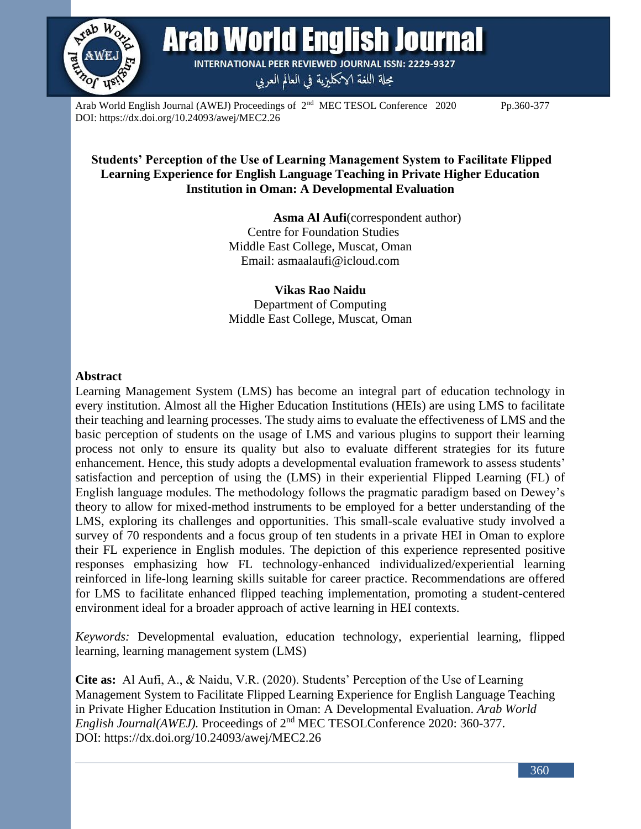

Arab World English Journal

**INTERNATIONAL PEER REVIEWED JOURNAL ISSN: 2229-9327** 

مجلة اللغة الانكليزية في العالم العربي

Arab World English Journal (AWEJ) Proceedings of  $2<sup>nd</sup>$  MEC TESOL Conference 2020 Pp.360-377 DOI: https://dx.doi.org/10.24093/awej/MEC2.26

### **Students' Perception of the Use of Learning Management System to Facilitate Flipped Learning Experience for English Language Teaching in Private Higher Education Institution in Oman: A Developmental Evaluation**

 **Asma Al Aufi**(correspondent author) Centre for Foundation Studies Middle East College, Muscat, Oman Email: asmaalaufi@icloud.com

**Vikas Rao Naidu** Department of Computing Middle East College, Muscat, Oman

#### **Abstract**

Learning Management System (LMS) has become an integral part of education technology in every institution. Almost all the Higher Education Institutions (HEIs) are using LMS to facilitate their teaching and learning processes. The study aims to evaluate the effectiveness of LMS and the basic perception of students on the usage of LMS and various plugins to support their learning process not only to ensure its quality but also to evaluate different strategies for its future enhancement. Hence, this study adopts a developmental evaluation framework to assess students' satisfaction and perception of using the (LMS) in their experiential Flipped Learning (FL) of English language modules. The methodology follows the pragmatic paradigm based on Dewey's theory to allow for mixed-method instruments to be employed for a better understanding of the LMS, exploring its challenges and opportunities. This small-scale evaluative study involved a survey of 70 respondents and a focus group of ten students in a private HEI in Oman to explore their FL experience in English modules. The depiction of this experience represented positive responses emphasizing how FL technology-enhanced individualized/experiential learning reinforced in life-long learning skills suitable for career practice. Recommendations are offered for LMS to facilitate enhanced flipped teaching implementation, promoting a student-centered environment ideal for a broader approach of active learning in HEI contexts.

*Keywords:* Developmental evaluation, education technology, experiential learning, flipped learning, learning management system (LMS)

**Cite as:** Al Aufi, A., & Naidu, V.R. (2020). Students' Perception of the Use of Learning Management System to Facilitate Flipped Learning Experience for English Language Teaching in Private Higher Education Institution in Oman: A Developmental Evaluation. *Arab World English Journal(AWEJ).* Proceedings of 2nd MEC TESOLConference 2020: 360-377. DOI: https://dx.doi.org/10.24093/awej/MEC2.26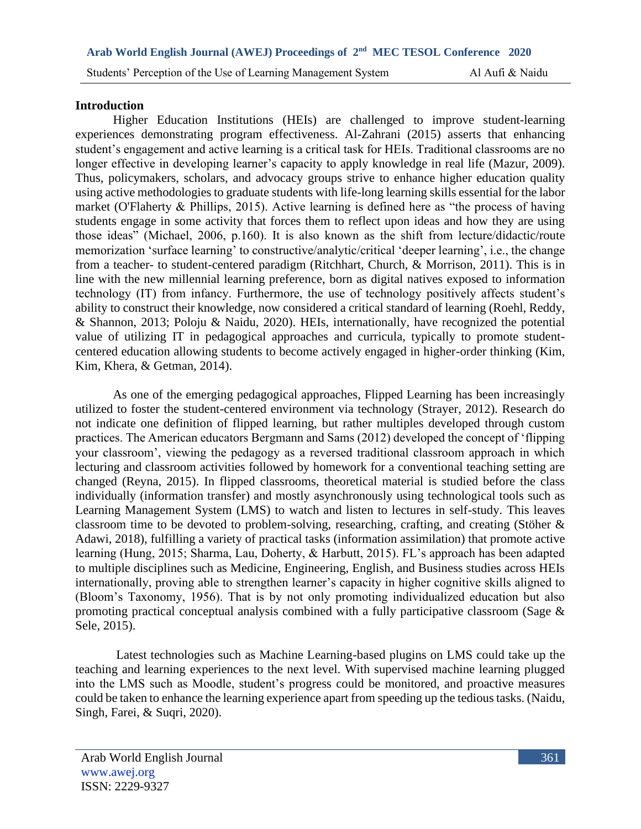#### **Introduction**

Higher Education Institutions (HEIs) are challenged to improve student-learning experiences demonstrating program effectiveness. Al-Zahrani (2015) asserts that enhancing student's engagement and active learning is a critical task for HEIs. Traditional classrooms are no longer effective in developing learner's capacity to apply knowledge in real life (Mazur, 2009). Thus, policymakers, scholars, and advocacy groups strive to enhance higher education quality using active methodologies to graduate students with life-long learning skills essential for the labor market (O'Flaherty & Phillips, 2015). Active learning is defined here as "the process of having students engage in some activity that forces them to reflect upon ideas and how they are using those ideas" (Michael, 2006, p.160). It is also known as the shift from lecture/didactic/route memorization 'surface learning' to constructive/analytic/critical 'deeper learning', i.e., the change from a teacher- to student-centered paradigm (Ritchhart, Church, & Morrison, 2011). This is in line with the new millennial learning preference, born as digital natives exposed to information technology (IT) from infancy. Furthermore, the use of technology positively affects student's ability to construct their knowledge, now considered a critical standard of learning (Roehl, Reddy, & Shannon, 2013; Poloju & Naidu, 2020). HEIs, internationally, have recognized the potential value of utilizing IT in pedagogical approaches and curricula, typically to promote studentcentered education allowing students to become actively engaged in higher-order thinking (Kim, Kim, Khera, & Getman, 2014).

As one of the emerging pedagogical approaches, Flipped Learning has been increasingly utilized to foster the student-centered environment via technology (Strayer, 2012). Research do not indicate one definition of flipped learning, but rather multiples developed through custom practices. The American educators Bergmann and Sams (2012) developed the concept of 'flipping your classroom', viewing the pedagogy as a reversed traditional classroom approach in which lecturing and classroom activities followed by homework for a conventional teaching setting are changed (Reyna, 2015). In flipped classrooms, theoretical material is studied before the class individually (information transfer) and mostly asynchronously using technological tools such as Learning Management System (LMS) to watch and listen to lectures in self-study. This leaves classroom time to be devoted to problem-solving, researching, crafting, and creating (Stöher & Adawi, 2018), fulfilling a variety of practical tasks (information assimilation) that promote active learning (Hung, 2015; Sharma, Lau, Doherty, & Harbutt, 2015). FL's approach has been adapted to multiple disciplines such as Medicine, Engineering, English, and Business studies across HEIs internationally, proving able to strengthen learner's capacity in higher cognitive skills aligned to (Bloom's Taxonomy, 1956). That is by not only promoting individualized education but also promoting practical conceptual analysis combined with a fully participative classroom (Sage & Sele, 2015).

Latest technologies such as Machine Learning-based plugins on LMS could take up the teaching and learning experiences to the next level. With supervised machine learning plugged into the LMS such as Moodle, student's progress could be monitored, and proactive measures could be taken to enhance the learning experience apart from speeding up the tedious tasks. (Naidu, Singh, Farei, & Suqri, 2020).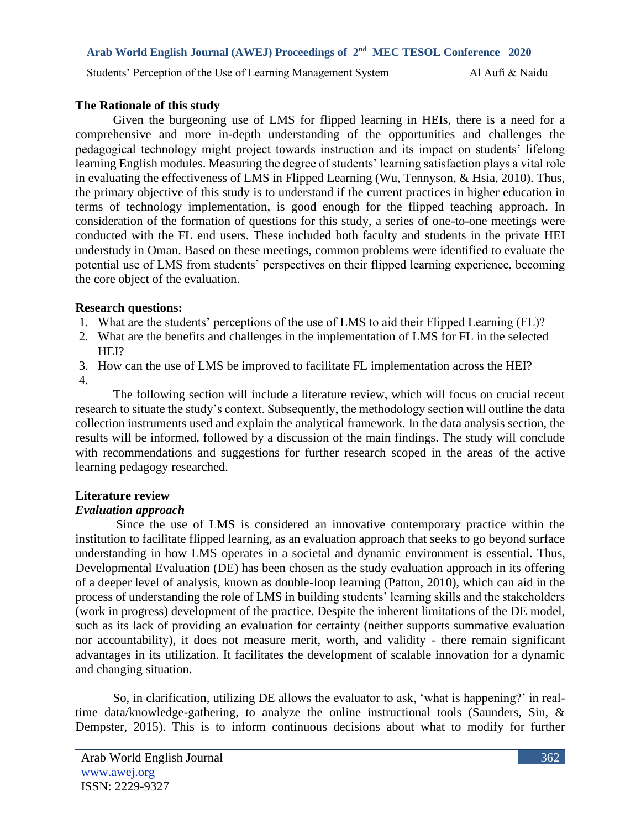### **The Rationale of this study**

Given the burgeoning use of LMS for flipped learning in HEIs, there is a need for a comprehensive and more in-depth understanding of the opportunities and challenges the pedagogical technology might project towards instruction and its impact on students' lifelong learning English modules. Measuring the degree of students' learning satisfaction plays a vital role in evaluating the effectiveness of LMS in Flipped Learning (Wu, Tennyson, & Hsia, 2010). Thus, the primary objective of this study is to understand if the current practices in higher education in terms of technology implementation, is good enough for the flipped teaching approach. In consideration of the formation of questions for this study, a series of one-to-one meetings were conducted with the FL end users. These included both faculty and students in the private HEI understudy in Oman. Based on these meetings, common problems were identified to evaluate the potential use of LMS from students' perspectives on their flipped learning experience, becoming the core object of the evaluation.

# **Research questions:**

- 1. What are the students' perceptions of the use of LMS to aid their Flipped Learning (FL)?
- 2. What are the benefits and challenges in the implementation of LMS for FL in the selected HEI?
- 3. How can the use of LMS be improved to facilitate FL implementation across the HEI?
- 4.

The following section will include a literature review, which will focus on crucial recent research to situate the study's context. Subsequently, the methodology section will outline the data collection instruments used and explain the analytical framework. In the data analysis section, the results will be informed, followed by a discussion of the main findings. The study will conclude with recommendations and suggestions for further research scoped in the areas of the active learning pedagogy researched.

# **Literature review**

# *Evaluation approach*

Since the use of LMS is considered an innovative contemporary practice within the institution to facilitate flipped learning, as an evaluation approach that seeks to go beyond surface understanding in how LMS operates in a societal and dynamic environment is essential. Thus, Developmental Evaluation (DE) has been chosen as the study evaluation approach in its offering of a deeper level of analysis, known as double-loop learning (Patton, 2010), which can aid in the process of understanding the role of LMS in building students' learning skills and the stakeholders (work in progress) development of the practice. Despite the inherent limitations of the DE model, such as its lack of providing an evaluation for certainty (neither supports summative evaluation nor accountability), it does not measure merit, worth, and validity - there remain significant advantages in its utilization. It facilitates the development of scalable innovation for a dynamic and changing situation.

So, in clarification, utilizing DE allows the evaluator to ask, 'what is happening?' in realtime data/knowledge-gathering, to analyze the online instructional tools (Saunders, Sin, & Dempster, 2015). This is to inform continuous decisions about what to modify for further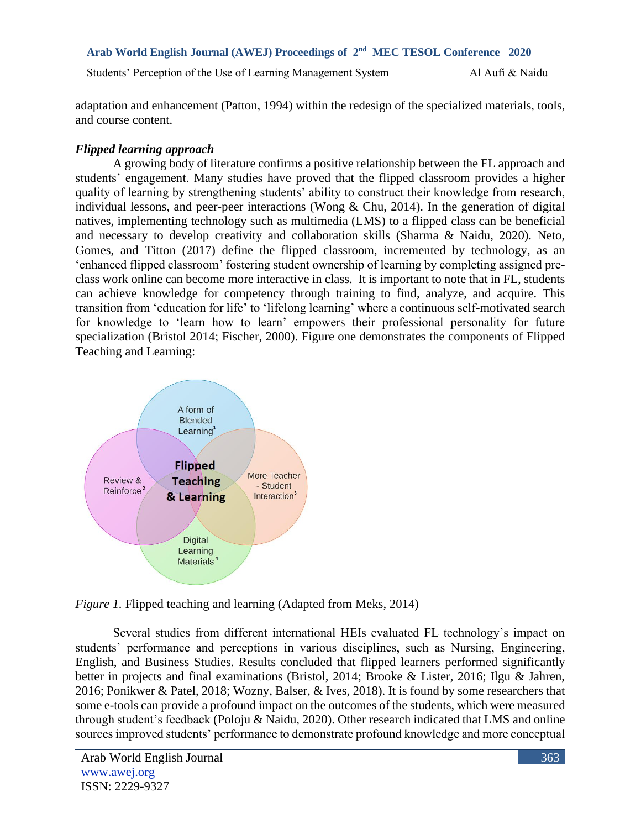adaptation and enhancement (Patton, 1994) within the redesign of the specialized materials, tools, and course content.

# *Flipped learning approach*

A growing body of literature confirms a positive relationship between the FL approach and students' engagement. Many studies have proved that the flipped classroom provides a higher quality of learning by strengthening students' ability to construct their knowledge from research, individual lessons, and peer-peer interactions (Wong & Chu, 2014). In the generation of digital natives, implementing technology such as multimedia (LMS) to a flipped class can be beneficial and necessary to develop creativity and collaboration skills (Sharma & Naidu, 2020). Neto, Gomes, and Titton (2017) define the flipped classroom, incremented by technology, as an 'enhanced flipped classroom' fostering student ownership of learning by completing assigned preclass work online can become more interactive in class. It is important to note that in FL, students can achieve knowledge for competency through training to find, analyze, and acquire. This transition from 'education for life' to 'lifelong learning' where a continuous self-motivated search for knowledge to 'learn how to learn' empowers their professional personality for future specialization (Bristol 2014; Fischer, 2000). Figure one demonstrates the components of Flipped Teaching and Learning:



*Figure 1.* Flipped teaching and learning (Adapted from Meks, 2014)

Several studies from different international HEIs evaluated FL technology's impact on students' performance and perceptions in various disciplines, such as Nursing, Engineering, English, and Business Studies. Results concluded that flipped learners performed significantly better in projects and final examinations (Bristol, 2014; Brooke & Lister, 2016; Ilgu & Jahren, 2016; Ponikwer & Patel, 2018; Wozny, Balser, & Ives, 2018). It is found by some researchers that some e-tools can provide a profound impact on the outcomes of the students, which were measured through student's feedback (Poloju & Naidu, 2020). Other research indicated that LMS and online sources improved students' performance to demonstrate profound knowledge and more conceptual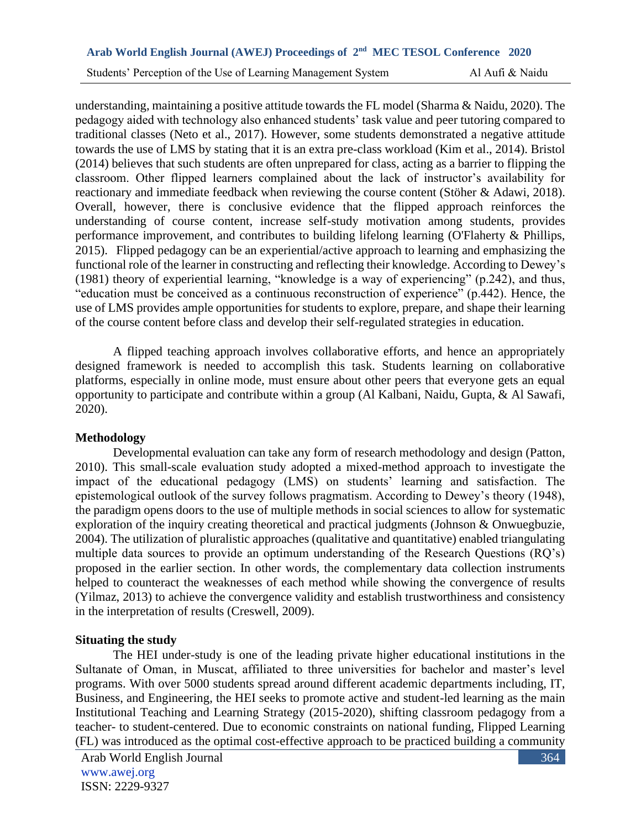understanding, maintaining a positive attitude towards the FL model (Sharma & Naidu, 2020). The pedagogy aided with technology also enhanced students' task value and peer tutoring compared to traditional classes (Neto et al., 2017). However, some students demonstrated a negative attitude towards the use of LMS by stating that it is an extra pre-class workload (Kim et al., 2014). Bristol (2014) believes that such students are often unprepared for class, acting as a barrier to flipping the classroom. Other flipped learners complained about the lack of instructor's availability for reactionary and immediate feedback when reviewing the course content (Stöher & Adawi, 2018). Overall, however, there is conclusive evidence that the flipped approach reinforces the understanding of course content, increase self-study motivation among students, provides performance improvement, and contributes to building lifelong learning (O'Flaherty & Phillips, 2015). Flipped pedagogy can be an experiential/active approach to learning and emphasizing the functional role of the learner in constructing and reflecting their knowledge. According to Dewey's (1981) theory of experiential learning, "knowledge is a way of experiencing" (p.242), and thus, "education must be conceived as a continuous reconstruction of experience" (p.442). Hence, the use of LMS provides ample opportunities for students to explore, prepare, and shape their learning of the course content before class and develop their self-regulated strategies in education.

A flipped teaching approach involves collaborative efforts, and hence an appropriately designed framework is needed to accomplish this task. Students learning on collaborative platforms, especially in online mode, must ensure about other peers that everyone gets an equal opportunity to participate and contribute within a group (Al Kalbani, Naidu, Gupta, & Al Sawafi, 2020).

# **Methodology**

Developmental evaluation can take any form of research methodology and design (Patton, 2010). This small-scale evaluation study adopted a mixed-method approach to investigate the impact of the educational pedagogy (LMS) on students' learning and satisfaction. The epistemological outlook of the survey follows pragmatism. According to Dewey's theory (1948), the paradigm opens doors to the use of multiple methods in social sciences to allow for systematic exploration of the inquiry creating theoretical and practical judgments (Johnson & Onwuegbuzie, 2004). The utilization of pluralistic approaches (qualitative and quantitative) enabled triangulating multiple data sources to provide an optimum understanding of the Research Questions (RQ's) proposed in the earlier section. In other words, the complementary data collection instruments helped to counteract the weaknesses of each method while showing the convergence of results (Yilmaz, 2013) to achieve the convergence validity and establish trustworthiness and consistency in the interpretation of results (Creswell, 2009).

# **Situating the study**

The HEI under-study is one of the leading private higher educational institutions in the Sultanate of Oman, in Muscat, affiliated to three universities for bachelor and master's level programs. With over 5000 students spread around different academic departments including, IT, Business, and Engineering, the HEI seeks to promote active and student-led learning as the main Institutional Teaching and Learning Strategy (2015-2020), shifting classroom pedagogy from a teacher- to student-centered. Due to economic constraints on national funding, Flipped Learning (FL) was introduced as the optimal cost-effective approach to be practiced building a community

364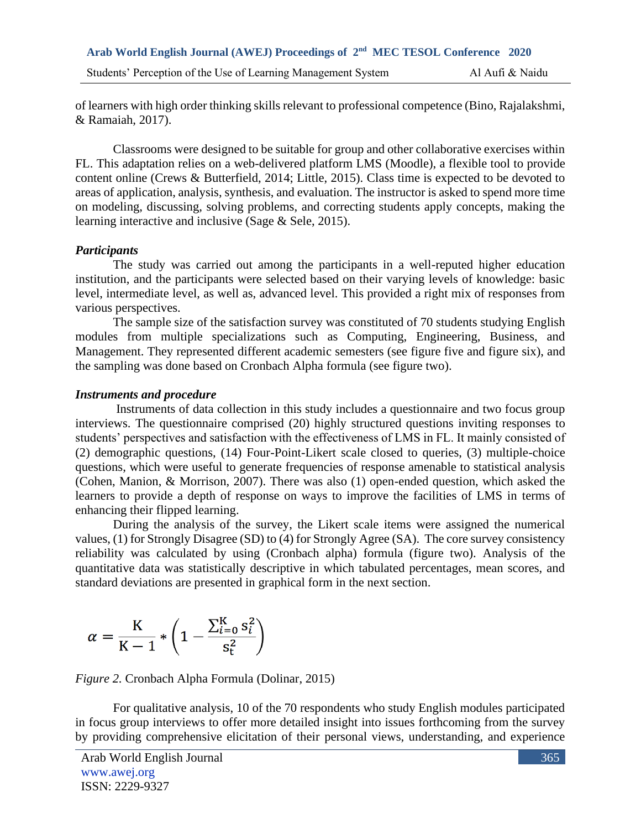of learners with high order thinking skills relevant to professional competence (Bino, Rajalakshmi, & Ramaiah, 2017).

Classrooms were designed to be suitable for group and other collaborative exercises within FL. This adaptation relies on a web-delivered platform LMS (Moodle), a flexible tool to provide content online (Crews & Butterfield, 2014; Little, 2015). Class time is expected to be devoted to areas of application, analysis, synthesis, and evaluation. The instructor is asked to spend more time on modeling, discussing, solving problems, and correcting students apply concepts, making the learning interactive and inclusive (Sage & Sele, 2015).

#### *Participants*

The study was carried out among the participants in a well-reputed higher education institution, and the participants were selected based on their varying levels of knowledge: basic level, intermediate level, as well as, advanced level. This provided a right mix of responses from various perspectives.

The sample size of the satisfaction survey was constituted of 70 students studying English modules from multiple specializations such as Computing, Engineering, Business, and Management. They represented different academic semesters (see figure five and figure six), and the sampling was done based on Cronbach Alpha formula (see figure two).

# *Instruments and procedure*

Instruments of data collection in this study includes a questionnaire and two focus group interviews. The questionnaire comprised (20) highly structured questions inviting responses to students' perspectives and satisfaction with the effectiveness of LMS in FL. It mainly consisted of (2) demographic questions, (14) Four-Point-Likert scale closed to queries, (3) multiple-choice questions, which were useful to generate frequencies of response amenable to statistical analysis (Cohen, Manion, & Morrison, 2007). There was also (1) open-ended question, which asked the learners to provide a depth of response on ways to improve the facilities of LMS in terms of enhancing their flipped learning.

During the analysis of the survey, the Likert scale items were assigned the numerical values, (1) for Strongly Disagree (SD) to (4) for Strongly Agree (SA). The core survey consistency reliability was calculated by using (Cronbach alpha) formula (figure two). Analysis of the quantitative data was statistically descriptive in which tabulated percentages, mean scores, and standard deviations are presented in graphical form in the next section.

$$
\alpha = \frac{K}{K-1} * \left(1 - \frac{\sum_{i=0}^{K} s_i^2}{s_t^2}\right)
$$

*Figure 2.* Cronbach Alpha Formula (Dolinar, 2015)

For qualitative analysis, 10 of the 70 respondents who study English modules participated in focus group interviews to offer more detailed insight into issues forthcoming from the survey by providing comprehensive elicitation of their personal views, understanding, and experience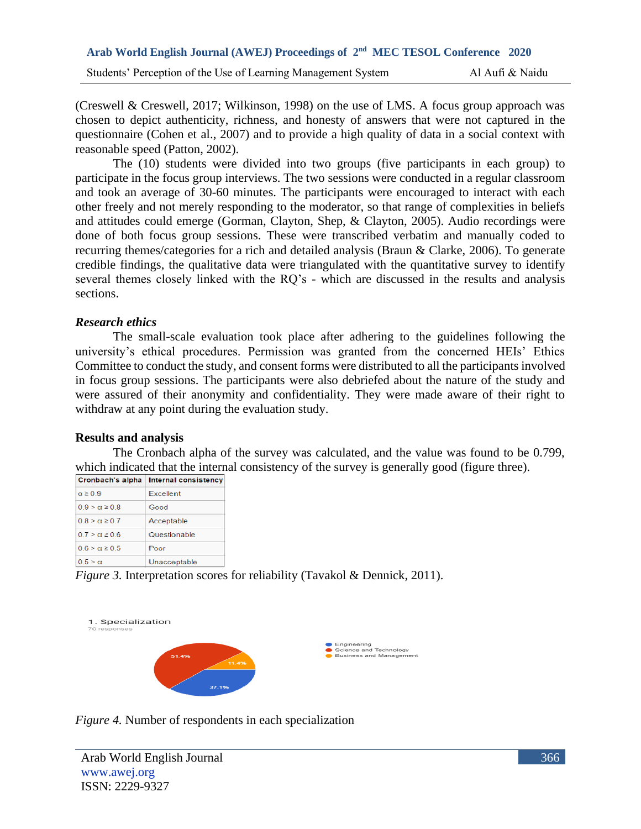(Creswell & Creswell, 2017; Wilkinson, 1998) on the use of LMS. A focus group approach was chosen to depict authenticity, richness, and honesty of answers that were not captured in the questionnaire (Cohen et al., 2007) and to provide a high quality of data in a social context with reasonable speed (Patton, 2002).

The (10) students were divided into two groups (five participants in each group) to participate in the focus group interviews. The two sessions were conducted in a regular classroom and took an average of 30-60 minutes. The participants were encouraged to interact with each other freely and not merely responding to the moderator, so that range of complexities in beliefs and attitudes could emerge (Gorman, Clayton, Shep, & Clayton, 2005). Audio recordings were done of both focus group sessions. These were transcribed verbatim and manually coded to recurring themes/categories for a rich and detailed analysis (Braun & Clarke, 2006). To generate credible findings, the qualitative data were triangulated with the quantitative survey to identify several themes closely linked with the RQ's - which are discussed in the results and analysis sections.

#### *Research ethics*

The small-scale evaluation took place after adhering to the guidelines following the university's ethical procedures. Permission was granted from the concerned HEIs' Ethics Committee to conduct the study, and consent forms were distributed to all the participants involved in focus group sessions. The participants were also debriefed about the nature of the study and were assured of their anonymity and confidentiality. They were made aware of their right to withdraw at any point during the evaluation study.

# **Results and analysis**

The Cronbach alpha of the survey was calculated, and the value was found to be 0.799, which indicated that the internal consistency of the survey is generally good (figure three).

|                         | ∣Cronbach's alpha ∣ Internal consistency |
|-------------------------|------------------------------------------|
| $\alpha \geq 0.9$       | Excellent                                |
| $0.9 > \alpha \geq 0.8$ | Good                                     |
| $0.8 > \alpha \geq 0.7$ | Acceptable                               |
| $0.7 > \alpha \geq 0.6$ | Questionable                             |
| $0.6 > \alpha \geq 0.5$ | Poor                                     |
| $0.5 > \alpha$          | Unacceptable                             |

*Figure 3.* Interpretation scores for reliability (Tavakol & Dennick, 2011).



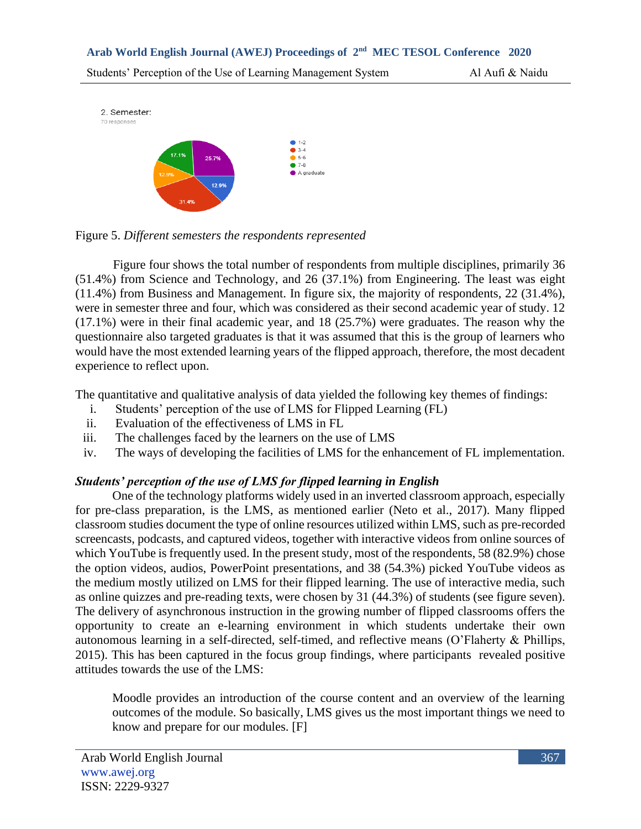



Figure four shows the total number of respondents from multiple disciplines, primarily 36 (51.4%) from Science and Technology, and 26 (37.1%) from Engineering. The least was eight (11.4%) from Business and Management. In figure six, the majority of respondents, 22 (31.4%), were in semester three and four, which was considered as their second academic year of study. 12 (17.1%) were in their final academic year, and 18 (25.7%) were graduates. The reason why the questionnaire also targeted graduates is that it was assumed that this is the group of learners who would have the most extended learning years of the flipped approach, therefore, the most decadent experience to reflect upon.

The quantitative and qualitative analysis of data yielded the following key themes of findings:

- i. Students' perception of the use of LMS for Flipped Learning (FL)
- ii. Evaluation of the effectiveness of LMS in FL
- iii. The challenges faced by the learners on the use of LMS
- iv. The ways of developing the facilities of LMS for the enhancement of FL implementation.

# *Students' perception of the use of LMS for flipped learning in English*

One of the technology platforms widely used in an inverted classroom approach, especially for pre-class preparation, is the LMS, as mentioned earlier (Neto et al., 2017). Many flipped classroom studies document the type of online resources utilized within LMS, such as pre-recorded screencasts, podcasts, and captured videos, together with interactive videos from online sources of which YouTube is frequently used. In the present study, most of the respondents, 58 (82.9%) chose the option videos, audios, PowerPoint presentations, and 38 (54.3%) picked YouTube videos as the medium mostly utilized on LMS for their flipped learning. The use of interactive media, such as online quizzes and pre-reading texts, were chosen by 31 (44.3%) of students (see figure seven). The delivery of asynchronous instruction in the growing number of flipped classrooms offers the opportunity to create an e-learning environment in which students undertake their own autonomous learning in a self-directed, self-timed, and reflective means (O'Flaherty & Phillips, 2015). This has been captured in the focus group findings, where participants revealed positive attitudes towards the use of the LMS:

Moodle provides an introduction of the course content and an overview of the learning outcomes of the module. So basically, LMS gives us the most important things we need to know and prepare for our modules. [F]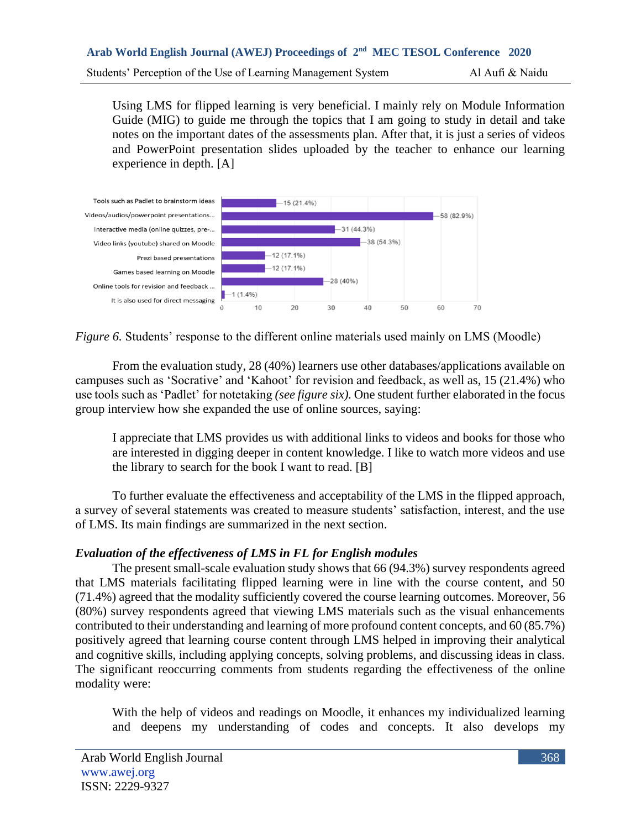Using LMS for flipped learning is very beneficial. I mainly rely on Module Information Guide (MIG) to guide me through the topics that I am going to study in detail and take notes on the important dates of the assessments plan. After that, it is just a series of videos and PowerPoint presentation slides uploaded by the teacher to enhance our learning experience in depth. [A]



*Figure 6.* Students' response to the different online materials used mainly on LMS (Moodle)

From the evaluation study, 28 (40%) learners use other databases/applications available on campuses such as 'Socrative' and 'Kahoot' for revision and feedback, as well as, 15 (21.4%) who use tools such as 'Padlet' for notetaking *(see figure six).* One student further elaborated in the focus group interview how she expanded the use of online sources, saying:

I appreciate that LMS provides us with additional links to videos and books for those who are interested in digging deeper in content knowledge. I like to watch more videos and use the library to search for the book I want to read. [B]

To further evaluate the effectiveness and acceptability of the LMS in the flipped approach, a survey of several statements was created to measure students' satisfaction, interest, and the use of LMS. Its main findings are summarized in the next section.

# *Evaluation of the effectiveness of LMS in FL for English modules*

The present small-scale evaluation study shows that 66 (94.3%) survey respondents agreed that LMS materials facilitating flipped learning were in line with the course content, and 50 (71.4%) agreed that the modality sufficiently covered the course learning outcomes*.* Moreover, 56 (80%) survey respondents agreed that viewing LMS materials such as the visual enhancements contributed to their understanding and learning of more profound content concepts, and 60 (85.7%) positively agreed that learning course content through LMS helped in improving their analytical and cognitive skills, including applying concepts, solving problems, and discussing ideas in class. The significant reoccurring comments from students regarding the effectiveness of the online modality were:

With the help of videos and readings on Moodle, it enhances my individualized learning and deepens my understanding of codes and concepts. It also develops my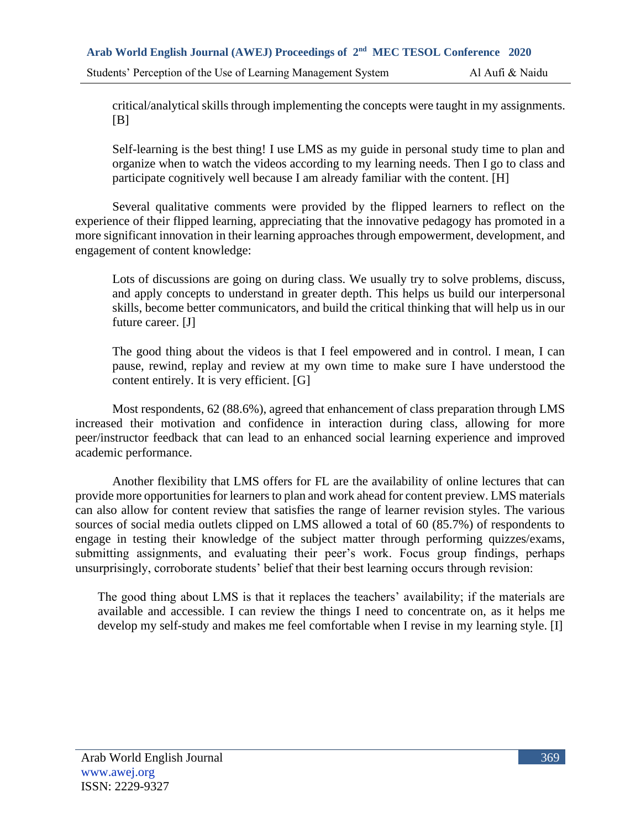critical/analytical skills through implementing the concepts were taught in my assignments.  $[B]$ 

Self-learning is the best thing! I use LMS as my guide in personal study time to plan and organize when to watch the videos according to my learning needs. Then I go to class and participate cognitively well because I am already familiar with the content. [H]

Several qualitative comments were provided by the flipped learners to reflect on the experience of their flipped learning, appreciating that the innovative pedagogy has promoted in a more significant innovation in their learning approaches through empowerment, development, and engagement of content knowledge:

Lots of discussions are going on during class. We usually try to solve problems, discuss, and apply concepts to understand in greater depth. This helps us build our interpersonal skills, become better communicators, and build the critical thinking that will help us in our future career. [J]

The good thing about the videos is that I feel empowered and in control. I mean, I can pause, rewind, replay and review at my own time to make sure I have understood the content entirely. It is very efficient. [G]

Most respondents, 62 (88.6%), agreed that enhancement of class preparation through LMS increased their motivation and confidence in interaction during class, allowing for more peer/instructor feedback that can lead to an enhanced social learning experience and improved academic performance.

Another flexibility that LMS offers for FL are the availability of online lectures that can provide more opportunities for learners to plan and work ahead for content preview. LMS materials can also allow for content review that satisfies the range of learner revision styles. The various sources of social media outlets clipped on LMS allowed a total of 60 (85.7%) of respondents to engage in testing their knowledge of the subject matter through performing quizzes/exams, submitting assignments, and evaluating their peer's work. Focus group findings, perhaps unsurprisingly, corroborate students' belief that their best learning occurs through revision:

The good thing about LMS is that it replaces the teachers' availability; if the materials are available and accessible. I can review the things I need to concentrate on, as it helps me develop my self-study and makes me feel comfortable when I revise in my learning style. [I]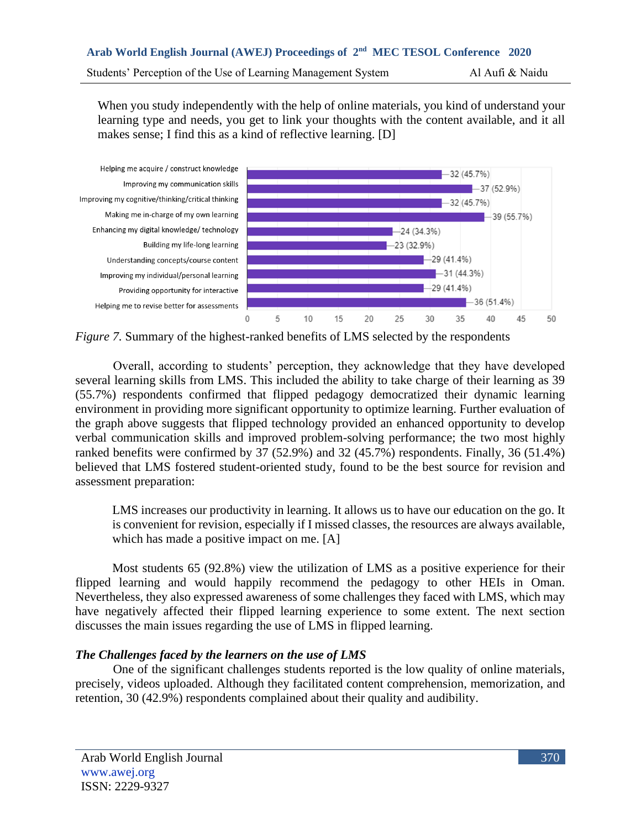When you study independently with the help of online materials, you kind of understand your learning type and needs, you get to link your thoughts with the content available, and it all makes sense; I find this as a kind of reflective learning. [D]



*Figure 7.* Summary of the highest-ranked benefits of LMS selected by the respondents

Overall, according to students' perception, they acknowledge that they have developed several learning skills from LMS. This included the ability to take charge of their learning as 39 (55.7%) respondents confirmed that flipped pedagogy democratized their dynamic learning environment in providing more significant opportunity to optimize learning. Further evaluation of the graph above suggests that flipped technology provided an enhanced opportunity to develop verbal communication skills and improved problem-solving performance; the two most highly ranked benefits were confirmed by 37 (52.9%) and 32 (45.7%) respondents. Finally, 36 (51.4%) believed that LMS fostered student-oriented study, found to be the best source for revision and assessment preparation:

LMS increases our productivity in learning. It allows us to have our education on the go. It is convenient for revision, especially if I missed classes, the resources are always available, which has made a positive impact on me. [A]

Most students 65 (92.8%) view the utilization of LMS as a positive experience for their flipped learning and would happily recommend the pedagogy to other HEIs in Oman. Nevertheless, they also expressed awareness of some challenges they faced with LMS, which may have negatively affected their flipped learning experience to some extent. The next section discusses the main issues regarding the use of LMS in flipped learning.

# *The Challenges faced by the learners on the use of LMS*

One of the significant challenges students reported is the low quality of online materials, precisely, videos uploaded. Although they facilitated content comprehension, memorization, and retention, 30 (42.9%) respondents complained about their quality and audibility.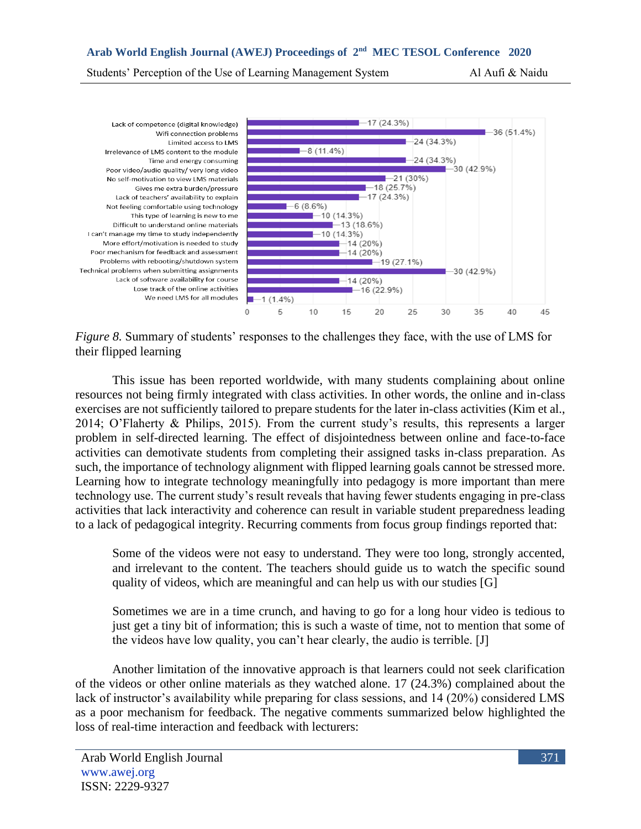Students' Perception of the Use of Learning Management System Al Aufi & Naidu



*Figure 8.* Summary of students' responses to the challenges they face, with the use of LMS for their flipped learning

This issue has been reported worldwide, with many students complaining about online resources not being firmly integrated with class activities. In other words, the online and in-class exercises are not sufficiently tailored to prepare students for the later in-class activities (Kim et al., 2014; O'Flaherty & Philips, 2015). From the current study's results, this represents a larger problem in self-directed learning. The effect of disjointedness between online and face-to-face activities can demotivate students from completing their assigned tasks in-class preparation. As such, the importance of technology alignment with flipped learning goals cannot be stressed more. Learning how to integrate technology meaningfully into pedagogy is more important than mere technology use. The current study's result reveals that having fewer students engaging in pre-class activities that lack interactivity and coherence can result in variable student preparedness leading to a lack of pedagogical integrity. Recurring comments from focus group findings reported that:

Some of the videos were not easy to understand. They were too long, strongly accented, and irrelevant to the content. The teachers should guide us to watch the specific sound quality of videos, which are meaningful and can help us with our studies [G]

Sometimes we are in a time crunch, and having to go for a long hour video is tedious to just get a tiny bit of information; this is such a waste of time, not to mention that some of the videos have low quality, you can't hear clearly, the audio is terrible. [J]

Another limitation of the innovative approach is that learners could not seek clarification of the videos or other online materials as they watched alone. 17 (24.3%) complained about the lack of instructor's availability while preparing for class sessions, and 14 (20%) considered LMS as a poor mechanism for feedback. The negative comments summarized below highlighted the loss of real-time interaction and feedback with lecturers: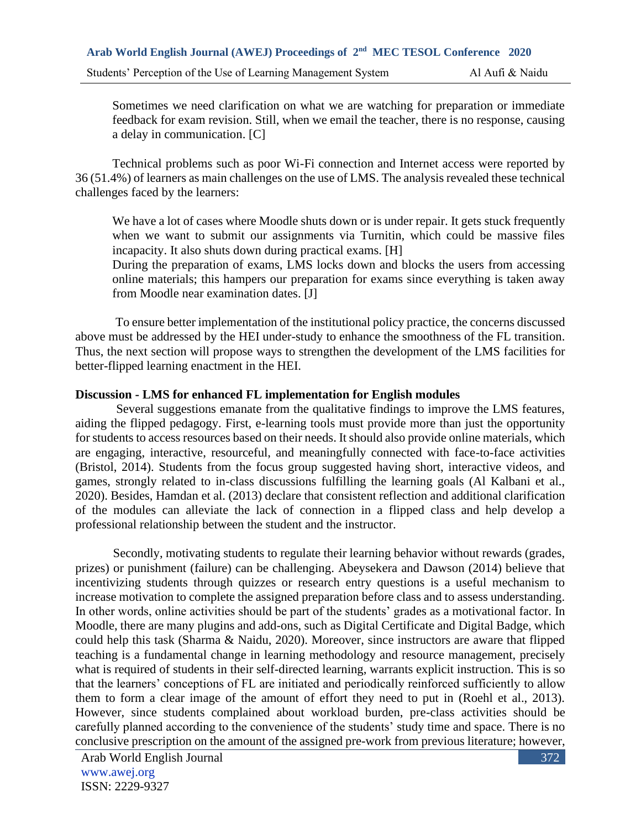Sometimes we need clarification on what we are watching for preparation or immediate feedback for exam revision. Still, when we email the teacher, there is no response, causing a delay in communication. [C]

Technical problems such as poor Wi-Fi connection and Internet access were reported by 36 (51.4%) of learners as main challenges on the use of LMS. The analysis revealed these technical challenges faced by the learners:

We have a lot of cases where Moodle shuts down or is under repair. It gets stuck frequently when we want to submit our assignments via Turnitin, which could be massive files incapacity. It also shuts down during practical exams. [H]

During the preparation of exams, LMS locks down and blocks the users from accessing online materials; this hampers our preparation for exams since everything is taken away from Moodle near examination dates. [J]

To ensure better implementation of the institutional policy practice, the concerns discussed above must be addressed by the HEI under-study to enhance the smoothness of the FL transition. Thus, the next section will propose ways to strengthen the development of the LMS facilities for better-flipped learning enactment in the HEI.

# **Discussion - LMS for enhanced FL implementation for English modules**

Several suggestions emanate from the qualitative findings to improve the LMS features, aiding the flipped pedagogy. First, e-learning tools must provide more than just the opportunity for students to access resources based on their needs. It should also provide online materials, which are engaging, interactive, resourceful, and meaningfully connected with face-to-face activities (Bristol, 2014). Students from the focus group suggested having short, interactive videos, and games, strongly related to in-class discussions fulfilling the learning goals (Al Kalbani et al., 2020). Besides, Hamdan et al. (2013) declare that consistent reflection and additional clarification of the modules can alleviate the lack of connection in a flipped class and help develop a professional relationship between the student and the instructor.

Secondly, motivating students to regulate their learning behavior without rewards (grades, prizes) or punishment (failure) can be challenging. Abeysekera and Dawson (2014) believe that incentivizing students through quizzes or research entry questions is a useful mechanism to increase motivation to complete the assigned preparation before class and to assess understanding. In other words, online activities should be part of the students' grades as a motivational factor. In Moodle, there are many plugins and add-ons, such as Digital Certificate and Digital Badge, which could help this task (Sharma & Naidu, 2020). Moreover, since instructors are aware that flipped teaching is a fundamental change in learning methodology and resource management, precisely what is required of students in their self-directed learning, warrants explicit instruction. This is so that the learners' conceptions of FL are initiated and periodically reinforced sufficiently to allow them to form a clear image of the amount of effort they need to put in (Roehl et al., 2013). However, since students complained about workload burden, pre-class activities should be carefully planned according to the convenience of the students' study time and space. There is no conclusive prescription on the amount of the assigned pre-work from previous literature; however,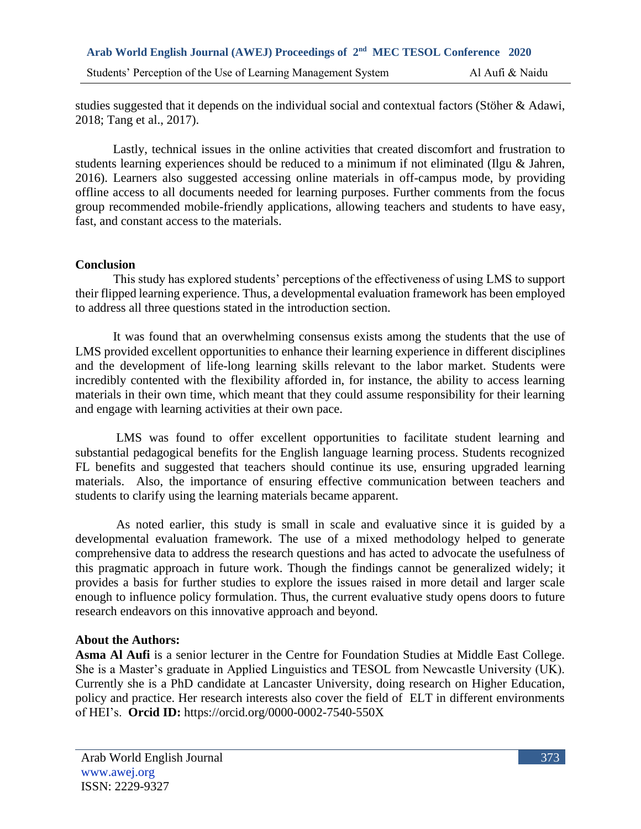studies suggested that it depends on the individual social and contextual factors (Stöher & Adawi, 2018; Tang et al., 2017).

Lastly, technical issues in the online activities that created discomfort and frustration to students learning experiences should be reduced to a minimum if not eliminated (Ilgu & Jahren, 2016). Learners also suggested accessing online materials in off-campus mode, by providing offline access to all documents needed for learning purposes. Further comments from the focus group recommended mobile-friendly applications, allowing teachers and students to have easy, fast, and constant access to the materials.

# **Conclusion**

This study has explored students' perceptions of the effectiveness of using LMS to support their flipped learning experience. Thus, a developmental evaluation framework has been employed to address all three questions stated in the introduction section.

It was found that an overwhelming consensus exists among the students that the use of LMS provided excellent opportunities to enhance their learning experience in different disciplines and the development of life-long learning skills relevant to the labor market. Students were incredibly contented with the flexibility afforded in, for instance, the ability to access learning materials in their own time, which meant that they could assume responsibility for their learning and engage with learning activities at their own pace.

LMS was found to offer excellent opportunities to facilitate student learning and substantial pedagogical benefits for the English language learning process. Students recognized FL benefits and suggested that teachers should continue its use, ensuring upgraded learning materials. Also, the importance of ensuring effective communication between teachers and students to clarify using the learning materials became apparent.

As noted earlier, this study is small in scale and evaluative since it is guided by a developmental evaluation framework. The use of a mixed methodology helped to generate comprehensive data to address the research questions and has acted to advocate the usefulness of this pragmatic approach in future work. Though the findings cannot be generalized widely; it provides a basis for further studies to explore the issues raised in more detail and larger scale enough to influence policy formulation. Thus, the current evaluative study opens doors to future research endeavors on this innovative approach and beyond.

# **About the Authors:**

**Asma Al Aufi** is a senior lecturer in the Centre for Foundation Studies at Middle East College. She is a Master's graduate in Applied Linguistics and TESOL from Newcastle University (UK). Currently she is a PhD candidate at Lancaster University, doing research on Higher Education, policy and practice. Her research interests also cover the field of ELT in different environments of HEI's. **Orcid ID:** <https://orcid.org/0000-0002-7540-550X>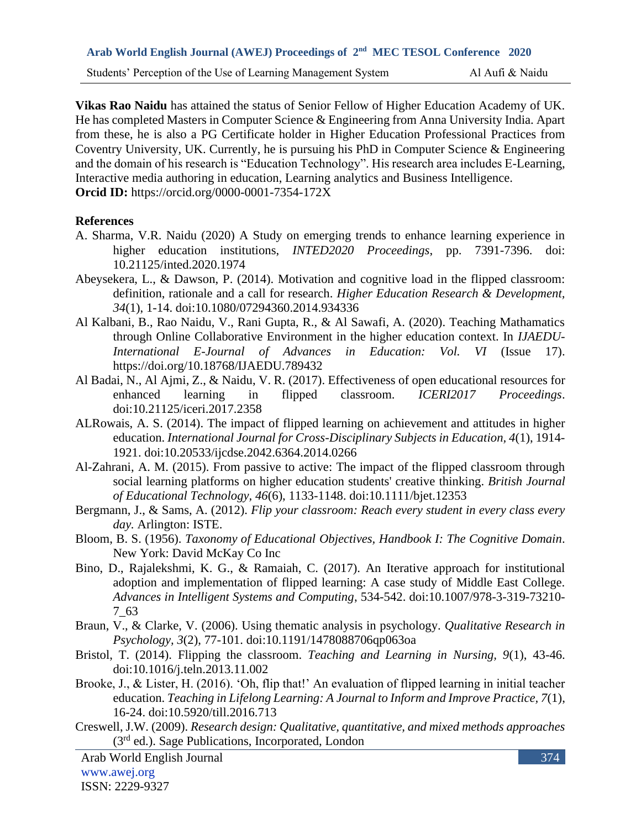Students' Perception of the Use of Learning Management System Al Aufi & Naidu

**Vikas Rao Naidu** has attained the status of Senior Fellow of Higher Education Academy of UK. He has completed Masters in Computer Science & Engineering from Anna University India. Apart from these, he is also a PG Certificate holder in Higher Education Professional Practices from Coventry University, UK. Currently, he is pursuing his PhD in Computer Science & Engineering and the domain of his research is "Education Technology". His research area includes E-Learning, Interactive media authoring in education, Learning analytics and Business Intelligence. **Orcid ID:** https://orcid.org/0000-0001-7354-172X

#### **References**

- A. Sharma, V.R. Naidu (2020) A Study on emerging trends to enhance learning experience in higher education institutions, *INTED2020 Proceedings*, pp. 7391-7396. doi: 10.21125/inted.2020.1974
- Abeysekera, L., & Dawson, P. (2014). Motivation and cognitive load in the flipped classroom: definition, rationale and a call for research. *Higher Education Research & Development, 34*(1), 1-14. doi:10.1080/07294360.2014.934336
- Al Kalbani, B., Rao Naidu, V., Rani Gupta, R., & Al Sawafi, A. (2020). Teaching Mathamatics through Online Collaborative Environment in the higher education context. In *IJAEDU-International E-Journal of Advances in Education: Vol. VI* (Issue 17). https://doi.org/10.18768/IJAEDU.789432
- Al Badai, N., Al Ajmi, Z., & Naidu, V. R. (2017). Effectiveness of open educational resources for enhanced learning in flipped classroom. *ICERI2017 Proceedings*. doi:10.21125/iceri.2017.2358
- ALRowais, A. S. (2014). The impact of flipped learning on achievement and attitudes in higher education. *International Journal for Cross-Disciplinary Subjects in Education, 4*(1), 1914- 1921. doi:10.20533/ijcdse.2042.6364.2014.0266
- Al-Zahrani, A. M. (2015). From passive to active: The impact of the flipped classroom through social learning platforms on higher education students' creative thinking. *British Journal of Educational Technology, 46*(6), 1133-1148. doi:10.1111/bjet.12353
- Bergmann, J., & Sams, A. (2012). *Flip your classroom: Reach every student in every class every day.* Arlington: ISTE.
- Bloom, B. S. (1956). *Taxonomy of Educational Objectives, Handbook I: The Cognitive Domain*. New York: David McKay Co Inc
- Bino, D., Rajalekshmi, K. G., & Ramaiah, C. (2017). An Iterative approach for institutional adoption and implementation of flipped learning: A case study of Middle East College. *Advances in Intelligent Systems and Computing*, 534-542. doi:10.1007/978-3-319-73210- 7\_63
- Braun, V., & Clarke, V. (2006). Using thematic analysis in psychology. *Qualitative Research in Psychology, 3*(2), 77-101. doi:10.1191/1478088706qp063oa
- Bristol, T. (2014). Flipping the classroom. *Teaching and Learning in Nursing, 9*(1), 43-46. doi:10.1016/j.teln.2013.11.002
- Brooke, J., & Lister, H. (2016). 'Oh, flip that!' An evaluation of flipped learning in initial teacher education. *Teaching in Lifelong Learning: A Journal to Inform and Improve Practice, 7*(1), 16-24. doi:10.5920/till.2016.713
- Creswell, J.W. (2009). *Research design: Qualitative, quantitative, and mixed methods approaches* (3rd ed.). Sage Publications, Incorporated, London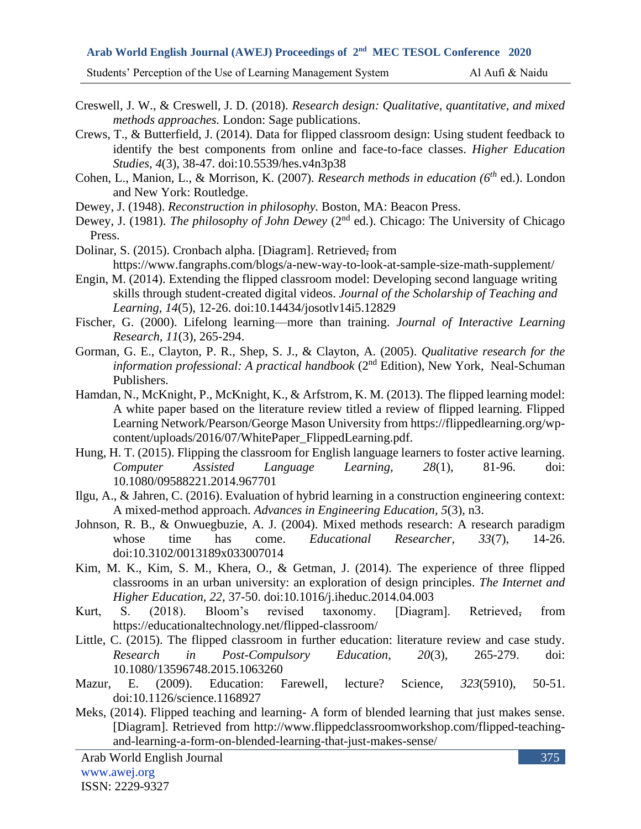Students' Perception of the Use of Learning Management System Al Aufi & Naidu

Creswell, J. W., & Creswell, J. D. (2018). *Research design: Qualitative, quantitative, and mixed methods approaches.* London: Sage publications.

Crews, T., & Butterfield, J. (2014). Data for flipped classroom design: Using student feedback to identify the best components from online and face-to-face classes. *Higher Education Studies, 4*(3), 38-47. doi:10.5539/hes.v4n3p38

Cohen, L., Manion, L., & Morrison, K. (2007). *Research methods in education (6th* ed.). London and New York: Routledge.

Dewey, J. (1948). *Reconstruction in philosophy.* Boston, MA: Beacon Press.

Dewey, J. (1981). *The philosophy of John Dewey* (2<sup>nd</sup> ed.). Chicago: The University of Chicago Press.

Dolinar, S. (2015). Cronbach alpha. [Diagram]. Retrieved, from https://www.fangraphs.com/blogs/a-new-way-to-look-at-sample-size-math-supplement/

Engin, M. (2014). Extending the flipped classroom model: Developing second language writing skills through student-created digital videos. *Journal of the Scholarship of Teaching and Learning, 14*(5), 12-26. doi:10.14434/josotlv14i5.12829

Fischer, G. (2000). Lifelong learning—more than training. *Journal of Interactive Learning Research, 11*(3), 265-294.

Gorman, G. E., Clayton, P. R., Shep, S. J., & Clayton, A. (2005). *Qualitative research for the information professional: A practical handbook* (2<sup>nd</sup> Edition), New York, Neal-Schuman Publishers.

Hamdan, N., McKnight, P., McKnight, K., & Arfstrom, K. M. (2013). The flipped learning model: A white paper based on the literature review titled a review of flipped learning. Flipped Learning Network/Pearson/George Mason University from https://flippedlearning.org/wpcontent/uploads/2016/07/WhitePaper\_FlippedLearning.pdf.

Hung, H. T. (2015). Flipping the classroom for English language learners to foster active learning. *Computer Assisted Language Learning, 28*(1), 81-96. doi: 10.1080/09588221.2014.967701

Ilgu, A., & Jahren, C. (2016). Evaluation of hybrid learning in a construction engineering context: A mixed-method approach. *Advances in Engineering Education, 5*(3), n3.

Johnson, R. B., & Onwuegbuzie, A. J. (2004). Mixed methods research: A research paradigm whose time has come. *Educational Researcher, 33*(7), 14-26. doi:10.3102/0013189x033007014

Kim, M. K., Kim, S. M., Khera, O., & Getman, J. (2014). The experience of three flipped classrooms in an urban university: an exploration of design principles. *The Internet and Higher Education, 22*, 37-50. doi:10.1016/j.iheduc.2014.04.003

Kurt, S. (2018). Bloom's revised taxonomy. [Diagram]. Retrieved, from https://educationaltechnology.net/flipped-classroom/

Little, C. (2015). The flipped classroom in further education: literature review and case study. *Research in Post-Compulsory Education, 20*(3), 265-279. doi: 10.1080/13596748.2015.1063260

Mazur, E. (2009). Education: Farewell, lecture? Science, *323*(5910), 50-51. doi:10.1126/science.1168927

Meks, (2014). Flipped teaching and learning- A form of blended learning that just makes sense. [Diagram]. Retrieved from http://www.flippedclassroomworkshop.com/flipped-teachingand-learning-a-form-on-blended-learning-that-just-makes-sense/

Arab World English Journal www.awej.org ISSN: 2229-9327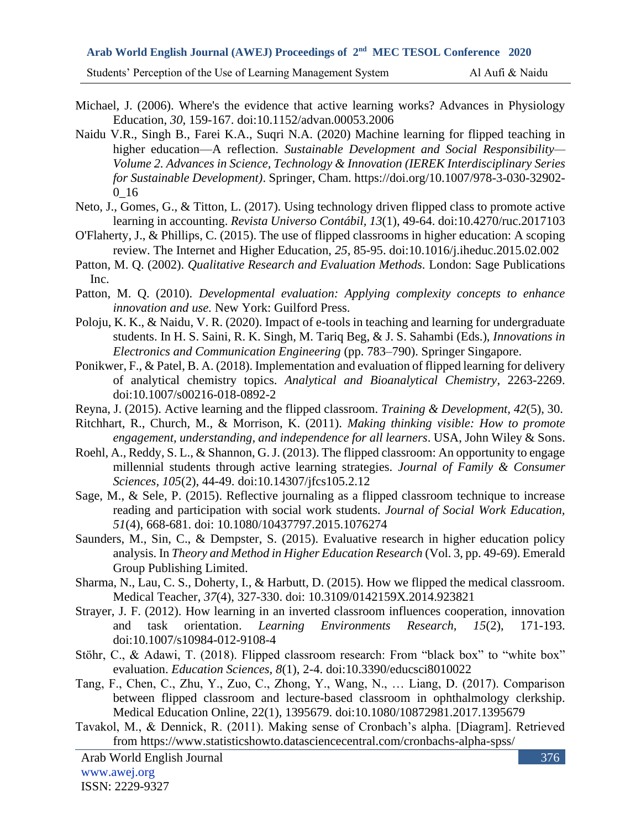- Michael, J. (2006). Where's the evidence that active learning works? Advances in Physiology Education, *30*, 159-167. doi:10.1152/advan.00053.2006
- Naidu V.R., Singh B., Farei K.A., Suqri N.A. (2020) Machine learning for flipped teaching in higher education—A reflection. *Sustainable Development and Social Responsibility— Volume 2. Advances in Science, Technology & Innovation (IEREK Interdisciplinary Series for Sustainable Development)*. Springer, Cham. [https://doi.org/10.1007/978-3-030-32902-](https://doi.org/10.1007/978-3-030-32902-0_16) [0\\_16](https://doi.org/10.1007/978-3-030-32902-0_16)
- Neto, J., Gomes, G., & Titton, L. (2017). Using technology driven flipped class to promote active learning in accounting. *Revista Universo Contábil, 13*(1), 49-64. doi:10.4270/ruc.2017103
- O'Flaherty, J., & Phillips, C. (2015). The use of flipped classrooms in higher education: A scoping review. The Internet and Higher Education, *25*, 85-95. doi:10.1016/j.iheduc.2015.02.002
- Patton, M. Q. (2002). *Qualitative Research and Evaluation Methods.* London: Sage Publications Inc.
- Patton, M. Q. (2010). *Developmental evaluation: Applying complexity concepts to enhance innovation and use.* New York: Guilford Press.
- Poloju, K. K., & Naidu, V. R. (2020). Impact of e-tools in teaching and learning for undergraduate students. In H. S. Saini, R. K. Singh, M. Tariq Beg, & J. S. Sahambi (Eds.), *Innovations in Electronics and Communication Engineering* (pp. 783–790). Springer Singapore.
- Ponikwer, F., & Patel, B. A. (2018). Implementation and evaluation of flipped learning for delivery of analytical chemistry topics. *Analytical and Bioanalytical Chemistry*, 2263-2269. doi:10.1007/s00216-018-0892-2
- Reyna, J. (2015). Active learning and the flipped classroom. *Training & Development, 42*(5), 30.
- Ritchhart, R., Church, M., & Morrison, K. (2011). *Making thinking visible: How to promote engagement, understanding, and independence for all learners*. USA, John Wiley & Sons.
- Roehl, A., Reddy, S. L., & Shannon, G. J. (2013). The flipped classroom: An opportunity to engage millennial students through active learning strategies. *Journal of Family & Consumer Sciences, 105*(2), 44-49. doi:10.14307/jfcs105.2.12
- Sage, M., & Sele, P. (2015). Reflective journaling as a flipped classroom technique to increase reading and participation with social work students*. Journal of Social Work Education, 51*(4), 668-681. doi: 10.1080/10437797.2015.1076274
- Saunders, M., Sin, C., & Dempster, S. (2015). Evaluative research in higher education policy analysis. In *Theory and Method in Higher Education Research* (Vol. 3, pp. 49-69). Emerald Group Publishing Limited.
- Sharma, N., Lau, C. S., Doherty, I., & Harbutt, D. (2015). How we flipped the medical classroom. Medical Teacher, *37*(4), 327-330. doi: 10.3109/0142159X.2014.923821
- Strayer, J. F. (2012). How learning in an inverted classroom influences cooperation, innovation and task orientation. *Learning Environments Research, 15*(2), 171-193. doi:10.1007/s10984-012-9108-4
- Stöhr, C., & Adawi, T. (2018). Flipped classroom research: From "black box" to "white box" evaluation. *Education Sciences, 8*(1), 2-4. doi:10.3390/educsci8010022
- Tang, F., Chen, C., Zhu, Y., Zuo, C., Zhong, Y., Wang, N., … Liang, D. (2017). Comparison between flipped classroom and lecture-based classroom in ophthalmology clerkship. Medical Education Online, 22(1), 1395679. doi:10.1080/10872981.2017.1395679
- Tavakol, M., & Dennick, R. (2011). Making sense of Cronbach's alpha. [Diagram]. Retrieved from https://www.statisticshowto.datasciencecentral.com/cronbachs-alpha-spss/